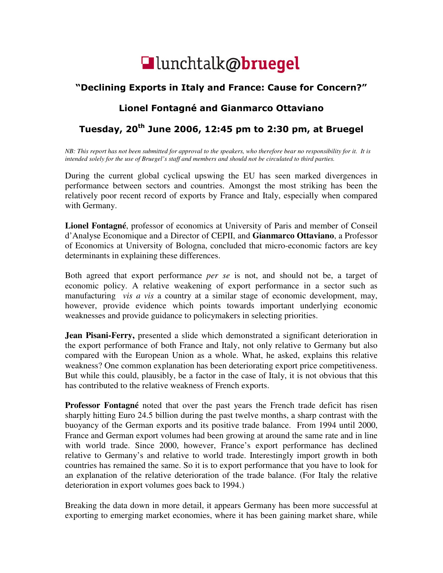

## "Declining Exports in Italy and France: Cause for Concern?"

## Lionel Fontagné and Gianmarco Ottaviano

## Tuesday,  $20<sup>th</sup>$  June 2006, 12:45 pm to 2:30 pm, at Bruegel

*NB: This report has not been submitted for approval to the speakers, who therefore bear no responsibility for it. It is intended solely for the use of Bruegel's staff and members and should not be circulated to third parties.* 

During the current global cyclical upswing the EU has seen marked divergences in performance between sectors and countries. Amongst the most striking has been the relatively poor recent record of exports by France and Italy, especially when compared with Germany.

**Lionel Fontagné**, professor of economics at University of Paris and member of Conseil d'Analyse Economique and a Director of CEPII, and **Gianmarco Ottaviano**, a Professor of Economics at University of Bologna, concluded that micro-economic factors are key determinants in explaining these differences.

Both agreed that export performance *per se* is not, and should not be, a target of economic policy. A relative weakening of export performance in a sector such as manufacturing *vis a vis* a country at a similar stage of economic development, may, however, provide evidence which points towards important underlying economic weaknesses and provide guidance to policymakers in selecting priorities.

**Jean Pisani-Ferry,** presented a slide which demonstrated a significant deterioration in the export performance of both France and Italy, not only relative to Germany but also compared with the European Union as a whole. What, he asked, explains this relative weakness? One common explanation has been deteriorating export price competitiveness. But while this could, plausibly, be a factor in the case of Italy, it is not obvious that this has contributed to the relative weakness of French exports.

**Professor Fontagné** noted that over the past years the French trade deficit has risen sharply hitting Euro 24.5 billion during the past twelve months, a sharp contrast with the buoyancy of the German exports and its positive trade balance. From 1994 until 2000, France and German export volumes had been growing at around the same rate and in line with world trade. Since 2000, however, France's export performance has declined relative to Germany's and relative to world trade. Interestingly import growth in both countries has remained the same. So it is to export performance that you have to look for an explanation of the relative deterioration of the trade balance. (For Italy the relative deterioration in export volumes goes back to 1994.)

Breaking the data down in more detail, it appears Germany has been more successful at exporting to emerging market economies, where it has been gaining market share, while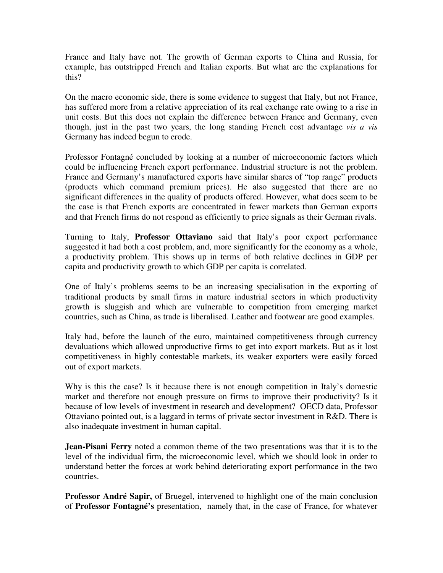France and Italy have not. The growth of German exports to China and Russia, for example, has outstripped French and Italian exports. But what are the explanations for this?

On the macro economic side, there is some evidence to suggest that Italy, but not France, has suffered more from a relative appreciation of its real exchange rate owing to a rise in unit costs. But this does not explain the difference between France and Germany, even though, just in the past two years, the long standing French cost advantage *vis a vis* Germany has indeed begun to erode.

Professor Fontagné concluded by looking at a number of microeconomic factors which could be influencing French export performance. Industrial structure is not the problem. France and Germany's manufactured exports have similar shares of "top range" products (products which command premium prices). He also suggested that there are no significant differences in the quality of products offered. However, what does seem to be the case is that French exports are concentrated in fewer markets than German exports and that French firms do not respond as efficiently to price signals as their German rivals.

Turning to Italy, **Professor Ottaviano** said that Italy's poor export performance suggested it had both a cost problem, and, more significantly for the economy as a whole, a productivity problem. This shows up in terms of both relative declines in GDP per capita and productivity growth to which GDP per capita is correlated.

One of Italy's problems seems to be an increasing specialisation in the exporting of traditional products by small firms in mature industrial sectors in which productivity growth is sluggish and which are vulnerable to competition from emerging market countries, such as China, as trade is liberalised. Leather and footwear are good examples.

Italy had, before the launch of the euro, maintained competitiveness through currency devaluations which allowed unproductive firms to get into export markets. But as it lost competitiveness in highly contestable markets, its weaker exporters were easily forced out of export markets.

Why is this the case? Is it because there is not enough competition in Italy's domestic market and therefore not enough pressure on firms to improve their productivity? Is it because of low levels of investment in research and development? OECD data, Professor Ottaviano pointed out, is a laggard in terms of private sector investment in R&D. There is also inadequate investment in human capital.

**Jean-Pisani Ferry** noted a common theme of the two presentations was that it is to the level of the individual firm, the microeconomic level, which we should look in order to understand better the forces at work behind deteriorating export performance in the two countries.

**Professor André Sapir,** of Bruegel, intervened to highlight one of the main conclusion of **Professor Fontagné's** presentation, namely that, in the case of France, for whatever